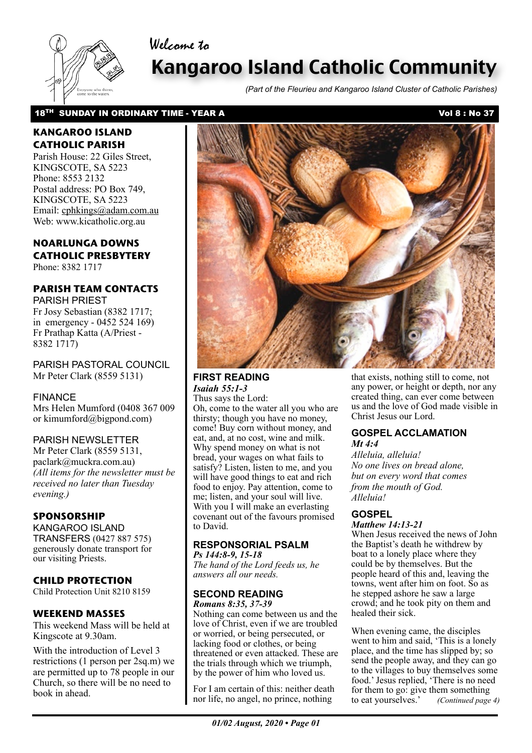# Welcome to



# Kangaroo Island Catholic Community

*(Part of the Fleurieu and Kangaroo Island Cluster of Catholic Parishes)*

### 18<sup>TH</sup> SUNDAY IN ORDINARY TIME - YEAR A Vol 8 : No 37

## **KANGAROO ISLAND CATHOLIC PARISH**

Parish House: 22 Giles Street, KINGSCOTE, SA 5223 Phone: 8553 2132 Postal address: PO Box 749, KINGSCOTE, SA 5223 Email: cphkings@adam.com.au Web: www.kicatholic.org.au

## **NOARLUNGA DOWNS CATHOLIC PRESBYTERY**

Phone: 8382 1717

#### **PARISH TEAM CONTACTS** PARISH PRIEST

Fr Josy Sebastian (8382 1717; in emergency - 0452 524 169) Fr Prathap Katta (A/Priest - 8382 1717)

PARISH PASTORAL COUNCIL Mr Peter Clark (8559 5131)

## FINANCE

Mrs Helen Mumford (0408 367 009 or kimumford@bigpond.com)

## PARISH NEWSLETTER

Mr Peter Clark (8559 5131, paclark@muckra.com.au) *(All items for the newsletter must be received no later than Tuesday evening.)*

### **SPONSORSHIP**

KANGAROO ISLAND TRANSFERS (0427 887 575) generously donate transport for our visiting Priests.

## **CHILD PROTECTION**

Child Protection Unit 8210 8159

## **WEEKEND MASSES**

This weekend Mass will be held at Kingscote at 9.30am.

With the introduction of Level 3 restrictions (1 person per 2sq.m) we are permitted up to 78 people in our Church, so there will be no need to book in ahead.



## **FIRST READING** *Isaiah 55:1-3*

Thus says the Lord: Oh, come to the water all you who are thirsty; though you have no money, come! Buy corn without money, and eat, and, at no cost, wine and milk. Why spend money on what is not bread, your wages on what fails to satisfy? Listen, listen to me, and you will have good things to eat and rich food to enjoy. Pay attention, come to me; listen, and your soul will live. With you I will make an everlasting covenant out of the favours promised to David.

#### **RESPONSORIAL PSALM** *Ps 144:8-9, 15-18*

*The hand of the Lord feeds us, he answers all our needs.*

#### **SECOND READING** *Romans 8:35, 37-39*

Nothing can come between us and the love of Christ, even if we are troubled or worried, or being persecuted, or lacking food or clothes, or being threatened or even attacked. These are the trials through which we triumph, by the power of him who loved us.

For I am certain of this: neither death nor life, no angel, no prince, nothing

that exists, nothing still to come, not any power, or height or depth, nor any created thing, can ever come between us and the love of God made visible in Christ Jesus our Lord.

#### **GOSPEL ACCLAMATION** *Mt 4:4*

*Alleluia, alleluia! No one lives on bread alone, but on every word that comes from the mouth of God. Alleluia!* 

#### **GOSPEL** *Matthew 14:13-21*

When Jesus received the news of John the Baptist's death he withdrew by boat to a lonely place where they could be by themselves. But the people heard of this and, leaving the towns, went after him on foot. So as he stepped ashore he saw a large crowd; and he took pity on them and healed their sick.

When evening came, the disciples went to him and said, 'This is a lonely place, and the time has slipped by; so send the people away, and they can go to the villages to buy themselves some food.' Jesus replied, 'There is no need for them to go: give them something to eat yourselves.' *(Continued page 4)*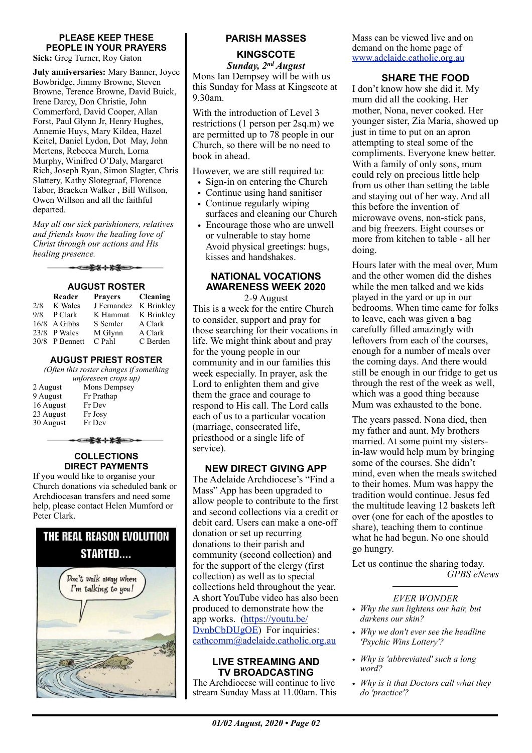### **PLEASE KEEP THESE PEOPLE IN YOUR PRAYERS**

**Sick:** Greg Turner, Roy Gaton

**July anniversaries:** Mary Banner, Joyce Bowbridge, Jimmy Browne, Steven Browne, Terence Browne, David Buick, Irene Darcy, Don Christie, John Commerford, David Cooper, Allan Forst, Paul Glynn Jr, Henry Hughes, Annemie Huys, Mary Kildea, Hazel Keitel, Daniel Lydon, Dot May, John Mertens, Rebecca Murch, Lorna Murphy, Winifred O'Daly, Margaret Rich, Joseph Ryan, Simon Slagter, Chris Slattery, Kathy Slotegraaf, Florence Tabor, Bracken Walker , Bill Willson, Owen Willson and all the faithful departed.

*May all our sick parishioners, relatives and friends know the healing love of Christ through our actions and His healing presence.*

<del>-⊂≵⊀⊹⊁≸</del>

#### **AUGUST ROSTER**

|     | Reader         | <b>Prayers</b> | <b>Cleaning</b> |
|-----|----------------|----------------|-----------------|
| 2/8 | K Wales        | J Fernandez    | K Brinkley      |
| 9/8 | P Clark        | K Hammat       | K Brinkley      |
|     | 16/8 A Gibbs   | S Semler       | A Clark         |
|     | $23/8$ P Wales | M Glynn        | A Clark         |
|     | 30/8 P Bennett | C Pahl         | C Berden        |

#### **AUGUST PRIEST ROSTER**

*(Often this roster changes if something unforeseen crops up)*

|           | $\ldots$ , or essent er ops $\ldots$ |  |
|-----------|--------------------------------------|--|
| 2 August  | Mons Dempsey                         |  |
| 9 August  | Fr Prathap                           |  |
| 16 August | Fr Dev                               |  |
| 23 August | Fr Josy                              |  |
| 30 August | Fr Dev                               |  |
|           |                                      |  |

#### **COLLECTIONS DIRECT PAYMENTS**

▅<del>▛</del>▓⊹▓<del>▓</del>▅⋾

If you would like to organise your Church donations via scheduled bank or Archdiocesan transfers and need some help, please contact Helen Mumford or Peter Clark.



## **PARISH MASSES**

**KINGSCOTE** *Sunday, 2nd August*

Mons Ian Dempsey will be with us this Sunday for Mass at Kingscote at 9.30am.

With the introduction of Level 3 restrictions (1 person per 2sq.m) we are permitted up to 78 people in our Church, so there will be no need to book in ahead.

However, we are still required to:

- Sign-in on entering the Church
- Continue using hand sanitiser
- Continue regularly wiping surfaces and cleaning our Church
- Encourage those who are unwell or vulnerable to stay home Avoid physical greetings: hugs, kisses and handshakes.

## **NATIONAL VOCATIONS AWARENESS WEEK 2020**

2-9 August

This is a week for the entire Church to consider, support and pray for those searching for their vocations in life. We might think about and pray for the young people in our community and in our families this week especially. In prayer, ask the Lord to enlighten them and give them the grace and courage to respond to His call. The Lord calls each of us to a particular vocation (marriage, consecrated life, priesthood or a single life of service).

#### **NEW DIRECT GIVING APP**

The Adelaide Archdiocese's "Find a Mass" App has been upgraded to allow people to contribute to the first and second collections via a credit or debit card. Users can make a one-off donation or set up recurring donations to their parish and community (second collection) and for the support of the clergy (first collection) as well as to special collections held throughout the year. A short YouTube video has also been produced to demonstrate how the app works. ([https://youtu.be/](https://youtu.be/DvnbCbDUgOE) [DvnbCbDUgOE\)](https://youtu.be/DvnbCbDUgOE) For inquiries: [cathcomm@adelaide.catholic.org.au](mailto:?subject=)

#### **LIVE STREAMING AND TV BROADCASTING**

The Archdiocese will continue to live stream Sunday Mass at 11.00am. This Mass can be viewed live and on demand on the home page of [www.adelaide.catholic.org.au](http://www.adelaide.catholic.org.au)

#### **SHARE THE FOOD**

I don't know how she did it. My mum did all the cooking. Her mother, Nona, never cooked. Her younger sister, Zia Maria, showed up just in time to put on an apron attempting to steal some of the compliments. Everyone knew better. With a family of only sons, mum could rely on precious little help from us other than setting the table and staying out of her way. And all this before the invention of microwave ovens, non-stick pans, and big freezers. Eight courses or more from kitchen to table - all her doing.

Hours later with the meal over, Mum and the other women did the dishes while the men talked and we kids played in the yard or up in our bedrooms. When time came for folks to leave, each was given a bag carefully filled amazingly with leftovers from each of the courses, enough for a number of meals over the coming days. And there would still be enough in our fridge to get us through the rest of the week as well, which was a good thing because Mum was exhausted to the bone.

The years passed. Nona died, then my father and aunt. My brothers married. At some point my sistersin-law would help mum by bringing some of the courses. She didn't mind, even when the meals switched to their homes. Mum was happy the tradition would continue. Jesus fed the multitude leaving 12 baskets left over (one for each of the apostles to share), teaching them to continue what he had begun. No one should go hungry.

Let us continue the sharing today. *GPBS eNews*

#### *EVER WONDER*

- *Why the sun lightens our hair, but darkens our skin?*
- *Why we don't ever see the headline 'Psychic Wins Lottery'?*
- *Why is 'abbreviated' such a long word?*
- *Why is it that Doctors call what they do 'practice'?*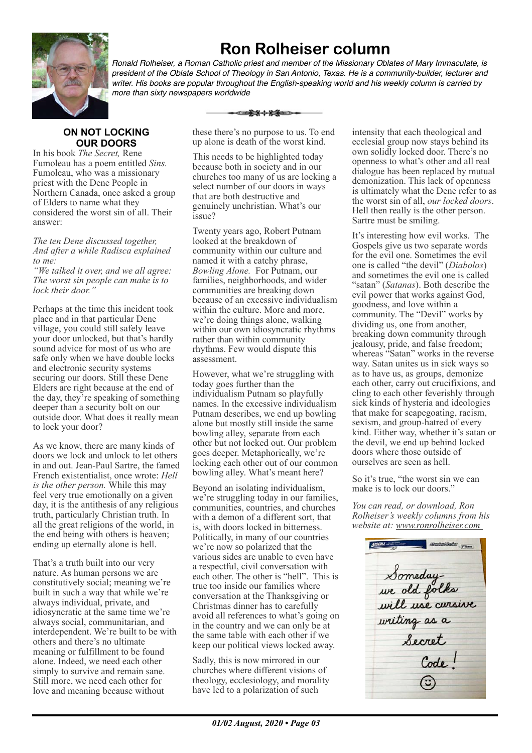

# **Ron Rolheiser column**

*Ronald Rolheiser, a Roman Catholic priest and member of the Missionary Oblates of Mary Immaculate, is president of the Oblate School of Theology in San Antonio, Texas. He is a community-builder, lecturer and writer. His books are popular throughout the English-speaking world and his weekly column is carried by more than sixty newspapers worldwide*

## **ON NOT LOCKING OUR DOORS**

In his book *The Secret,* Rene Fumoleau has a poem entitled *Sins.*  Fumoleau, who was a missionary priest with the Dene People in Northern Canada, once asked a group of Elders to name what they considered the worst sin of all. Their answer:

*The ten Dene discussed together, And after a while Radisca explained to me:*

*"We talked it over, and we all agree: The worst sin people can make is to*  lock their door.

Perhaps at the time this incident took place and in that particular Dene village, you could still safely leave your door unlocked, but that's hardly sound advice for most of us who are safe only when we have double locks and electronic security systems securing our doors. Still these Dene Elders are right because at the end of the day, they're speaking of something deeper than a security bolt on our outside door. What does it really mean to lock your door?

As we know, there are many kinds of doors we lock and unlock to let others in and out. Jean-Paul Sartre, the famed French existentialist, once wrote: *Hell is the other person.* While this may feel very true emotionally on a given day, it is the antithesis of any religious truth, particularly Christian truth. In all the great religions of the world, in the end being with others is heaven; ending up eternally alone is hell.

That's a truth built into our very nature. As human persons we are constitutively social; meaning we're built in such a way that while we're always individual, private, and idiosyncratic at the same time we're always social, communitarian, and interdependent. We're built to be with others and there's no ultimate meaning or fulfillment to be found alone. Indeed, we need each other simply to survive and remain sane. Still more, we need each other for love and meaning because without

these there's no purpose to us. To end up alone is death of the worst kind.

This needs to be highlighted today because both in society and in our churches too many of us are locking a select number of our doors in ways that are both destructive and genuinely unchristian. What's our issue?

Twenty years ago, Robert Putnam looked at the breakdown of community within our culture and named it with a catchy phrase, *Bowling Alone.* For Putnam, our families, neighborhoods, and wider communities are breaking down because of an excessive individualism within the culture. More and more, we're doing things alone, walking within our own idiosyncratic rhythms rather than within community rhythms. Few would dispute this assessment.

However, what we're struggling with today goes further than the individualism Putnam so playfully names. In the excessive individualism Putnam describes, we end up bowling alone but mostly still inside the same bowling alley, separate from each other but not locked out. Our problem goes deeper. Metaphorically, we're locking each other out of our common bowling alley. What's meant here?

Beyond an isolating individualism, we're struggling today in our families, communities, countries, and churches with a demon of a different sort, that is, with doors locked in bitterness. Politically, in many of our countries we're now so polarized that the various sides are unable to even have a respectful, civil conversation with each other. The other is "hell". This is true too inside our families where conversation at the Thanksgiving or Christmas dinner has to carefully avoid all references to what's going on in the country and we can only be at the same table with each other if we keep our political views locked away.

Sadly, this is now mirrored in our churches where different visions of theology, ecclesiology, and morality have led to a polarization of such

intensity that each theological and ecclesial group now stays behind its own solidly locked door. There's no openness to what's other and all real dialogue has been replaced by mutual demonization. This lack of openness is ultimately what the Dene refer to as the worst sin of all, *our locked doors*. Hell then really is the other person. Sartre must be smiling.

It's interesting how evil works. The Gospels give us two separate words for the evil one. Sometimes the evil one is called "the devil" (*Diabolos*) and sometimes the evil one is called "satan" (*Satanas*). Both describe the evil power that works against God, goodness, and love within a community. The "Devil" works by dividing us, one from another, breaking down community through jealousy, pride, and false freedom; whereas "Satan" works in the reverse way. Satan unites us in sick ways so as to have us, as groups, demonize each other, carry out crucifixions, and cling to each other feverishly through sick kinds of hysteria and ideologies that make for scapegoating, racism, sexism, and group-hatred of every kind. Either way, whether it's satan or the devil, we end up behind locked doors where those outside of ourselves are seen as hell.

So it's true, "the worst sin we can make is to lock our doors."

*You can read, or download, Ron Rolheiser's weekly columns from his website at: www.ronrolheiser.com* 

**FOOTHERS** Statutsde Terri Someday<br>we old folks<br>will use cursive<br>writing as a<br>secret  $C_{ode}$